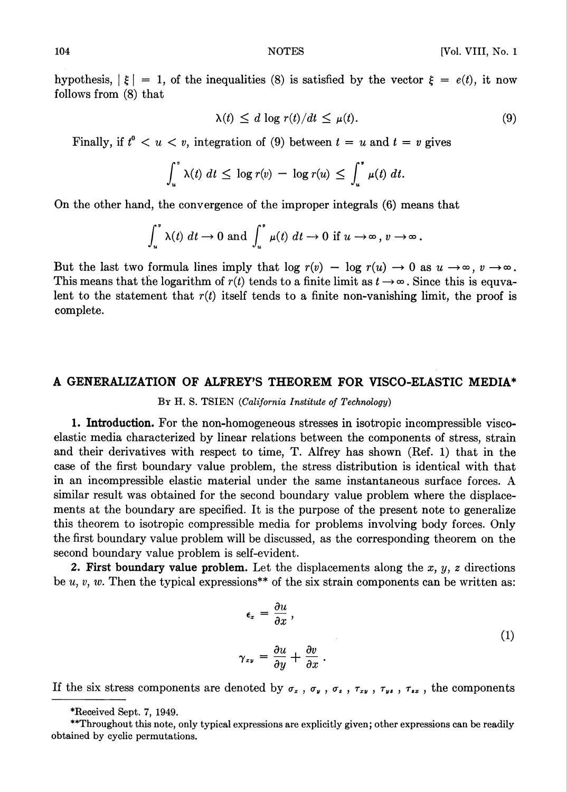hypothesis,  $|\xi| = 1$ , of the inequalities (8) is satisfied by the vector  $\xi = e(t)$ , it now follows from (8) that

$$
\lambda(t) \leq d \log r(t)/dt \leq \mu(t). \tag{9}
$$

Finally, if  $t^0 < u < v$ , integration of (9) between  $t = u$  and  $t = v$  gives

$$
\int_u^{\infty} \lambda(t) dt \leq \log r(v) - \log r(u) \leq \int_u^{\infty} \mu(t) dt.
$$

On the other hand, the convergence of the improper integrals (6) means that

$$
\int_u^{\infty} \lambda(t) dt \to 0 \text{ and } \int_u^{\infty} \mu(t) dt \to 0 \text{ if } u \to \infty, v \to \infty.
$$

But the last two formula lines imply that log  $r(v) - \log r(u) \to 0$  as  $u \to \infty$ ,  $v \to \infty$ . This means that the logarithm of  $r(t)$  tends to a finite limit as  $t \to \infty$ . Since this is equvalent to the statement that  $r(t)$  itself tends to a finite non-vanishing limit, the proof is complete.

## A GENERALIZATION OF ALFREY'S THEOREM FOR VISCO-ELASTIC MEDIA\*

By H. S. TSIEN (California Institute of Technology)

1. Introduction. For the non-homogeneous stresses in isotropic incompressible viscoelastic media characterized by linear relations between the components of stress, strain and their derivatives with respect to time, T. Alfrey has shown (Ref. 1) that in the case of the first boundary value problem, the stress distribution is identical with that in an incompressible elastic material under the same instantaneous surface forces. A similar result was obtained for the second boundary value problem where the displacements at the boundary are specified. It is the purpose of the present note to generalize this theorem to isotropic compressible media for problems involving body forces. Only the first boundary value problem will be discussed, as the corresponding theorem on the second boundary value problem is self-evident.

2. First boundary value problem. Let the displacements along the  $x, y, z$  directions be u, v, w. Then the typical expressions\*\* of the six strain components can be written as:

$$
\epsilon_x = \frac{\partial u}{\partial x},
$$
  

$$
\gamma_{xy} = \frac{\partial u}{\partial y} + \frac{\partial v}{\partial x}.
$$
 (1)

If the six stress components are denoted by  $\sigma_x$ ,  $\sigma_y$ ,  $\sigma_z$ ,  $\tau_{xy}$ ,  $\tau_{yz}$ ,  $\tau_{zz}$ , the components

<sup>\*</sup>Received Sept. 7, 1949.

<sup>\*\*</sup>Throughout this note, only typical expressions are explicitly given; other expressions can be readily obtained by cyclic permutations.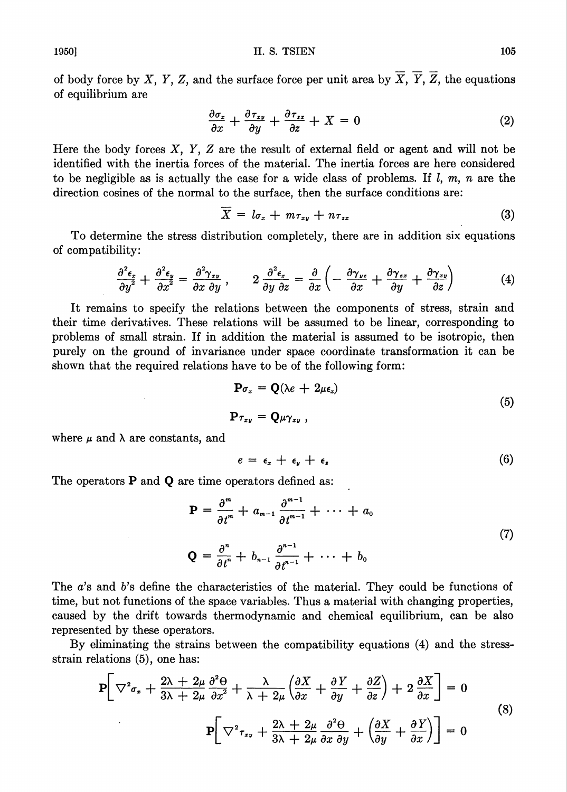of body force by X, Y, Z, and the surface force per unit area by  $\overline{X}$ ,  $\overline{Y}$ ,  $\overline{Z}$ , the equations of equilibrium are

$$
\frac{\partial \sigma_z}{\partial x} + \frac{\partial \tau_{zy}}{\partial y} + \frac{\partial \tau_{zz}}{\partial z} + X = 0 \tag{2}
$$

Here the body forces  $X$ ,  $Y$ ,  $Z$  are the result of external field or agent and will not be identified with the inertia forces of the material. The inertia forces are here considered to be negligible as is actually the case for a wide class of problems. If  $l, m, n$  are the direction cosines of the normal to the surface, then the surface conditions are:

$$
X = l\sigma_x + m\tau_{xy} + n\tau_{zz} \tag{3}
$$

To determine the stress distribution completely, there are in addition six equations of compatibility:

$$
\frac{\partial^2 \epsilon_z}{\partial y^2} + \frac{\partial^2 \epsilon_y}{\partial x^2} = \frac{\partial^2 \gamma_{xy}}{\partial x \partial y}, \qquad 2 \frac{\partial^2 \epsilon_x}{\partial y \partial z} = \frac{\partial}{\partial x} \left( -\frac{\partial \gamma_{yz}}{\partial x} + \frac{\partial \gamma_{zx}}{\partial y} + \frac{\partial \gamma_{zy}}{\partial z} \right) \tag{4}
$$

It remains to specify the relations between the components of stress, strain and their time derivatives. These relations will be assumed to be linear, corresponding to problems of small strain. If in addition the material is assumed to be isotropic, then purely on the ground of invariance under space coordinate transformation it can be shown that the required relations have to be of the following form:

$$
\mathbf{P}\sigma_z = \mathbf{Q}(\lambda e + 2\mu \epsilon_z)
$$
  
\n
$$
\mathbf{P}\tau_{zy} = \mathbf{Q}\mu \gamma_{zy} ,
$$
\n(5)

where  $\mu$  and  $\lambda$  are constants, and

$$
e = \epsilon_x + \epsilon_y + \epsilon_s \tag{6}
$$

The operators **P** and **Q** are time operators defined as:

$$
\mathbf{P} = \frac{\partial^m}{\partial t^m} + a_{m-1} \frac{\partial^{m-1}}{\partial t^{m-1}} + \cdots + a_0
$$
  

$$
\mathbf{Q} = \frac{\partial^n}{\partial t^n} + b_{n-1} \frac{\partial^{n-1}}{\partial t^{n-1}} + \cdots + b_0
$$
 (7)

The 
$$
a
$$
's and  $b$ 's define the characteristics of the material. They could be functions of time, but not functions of the space variables. Thus a material with changing properties, caused by the drift towards thermodynamic and chemical equilibrium, can be also represented by these operators.

By eliminating the strains between the compatibility equations (4) and the stressstrain relations (5), one has:

$$
\mathbf{P}\left[\nabla^2 \sigma_x + \frac{2\lambda + 2\mu}{3\lambda + 2\mu} \frac{\partial^2 \Theta}{\partial x^2} + \frac{\lambda}{\lambda + 2\mu} \left(\frac{\partial X}{\partial x} + \frac{\partial Y}{\partial y} + \frac{\partial Z}{\partial z}\right) + 2 \frac{\partial X}{\partial x}\right] = 0
$$
\n
$$
\mathbf{P}\left[\nabla^2 \tau_{xy} + \frac{2\lambda + 2\mu}{3\lambda + 2\mu} \frac{\partial^2 \Theta}{\partial x \partial y} + \left(\frac{\partial X}{\partial y} + \frac{\partial Y}{\partial x}\right)\right] = 0
$$
\n(8)